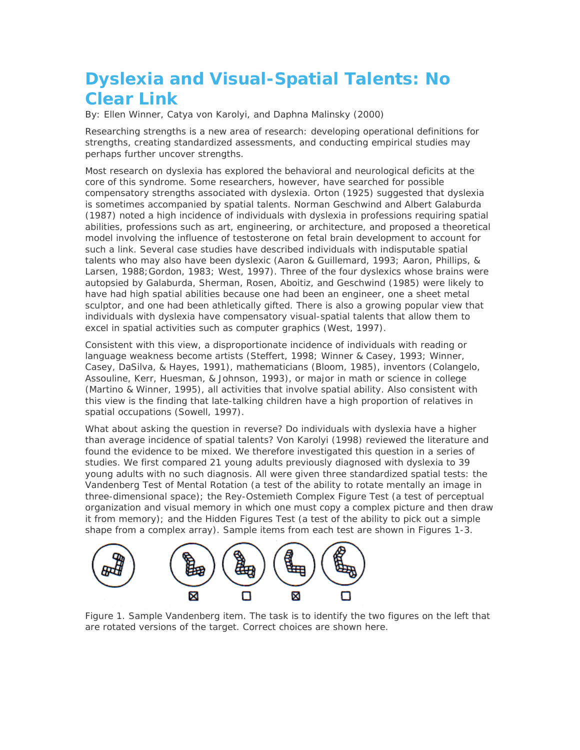# **Dyslexia and Visual-Spatial Talents: No Clear Link**

By: Ellen Winner, Catya von Karolyi, and Daphna Malinsky (2000)

Researching strengths is a new area of research: developing operational definitions for strengths, creating standardized assessments, and conducting empirical studies may perhaps further uncover strengths.

Most research on dyslexia has explored the behavioral and neurological deficits at the core of this syndrome. Some researchers, however, have searched for possible compensatory strengths associated with dyslexia. Orton (1925) suggested that dyslexia is sometimes accompanied by spatial talents. Norman Geschwind and Albert Galaburda (1987) noted a high incidence of individuals with dyslexia in professions requiring spatial abilities, professions such as art, engineering, or architecture, and proposed a theoretical model involving the influence of testosterone on fetal brain development to account for such a link. Several case studies have described individuals with indisputable spatial talents who may also have been dyslexic (Aaron & Guillemard, 1993; Aaron, Phillips, & Larsen, 1988;Gordon, 1983; West, 1997). Three of the four dyslexics whose brains were autopsied by Galaburda, Sherman, Rosen, Aboitiz, and Geschwind (1985) were likely to have had high spatial abilities because one had been an engineer, one a sheet metal sculptor, and one had been athletically gifted. There is also a growing popular view that individuals with dyslexia have compensatory visual-spatial talents that allow them to excel in spatial activities such as computer graphics (West, 1997).

Consistent with this view, a disproportionate incidence of individuals with reading or language weakness become artists (Steffert, 1998; Winner & Casey, 1993; Winner, Casey, DaSilva, & Hayes, 1991), mathematicians (Bloom, 1985), inventors (Colangelo, Assouline, Kerr, Huesman, & Johnson, 1993), or major in math or science in college (Martino & Winner, 1995), all activities that involve spatial ability. Also consistent with this view is the finding that late-talking children have a high proportion of relatives in spatial occupations (Sowell, 1997).

What about asking the question in reverse? Do individuals with dyslexia have a higher than average incidence of spatial talents? Von Karolyi (1998) reviewed the literature and found the evidence to be mixed. We therefore investigated this question in a series of studies. We first compared 21 young adults previously diagnosed with dyslexia to 39 young adults with no such diagnosis. All were given three standardized spatial tests: the Vandenberg Test of Mental Rotation (a test of the ability to rotate mentally an image in three-dimensional space); the Rey-Ostemieth Complex Figure Test (a test of perceptual organization and visual memory in which one must copy a complex picture and then draw it from memory); and the Hidden Figures Test (a test of the ability to pick out a simple shape from a complex array). Sample items from each test are shown in Figures 1-3.



Figure 1. Sample Vandenberg item. The task is to identify the two figures on the left that are rotated versions of the target. Correct choices are shown here.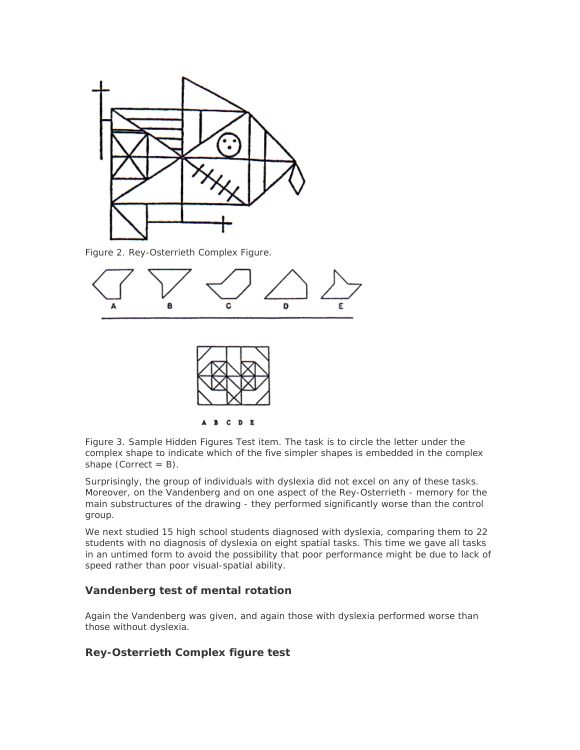

Figure 2. Rey-Osterrieth Complex Figure.



Figure 3. Sample Hidden Figures Test item. The task is to circle the letter under the complex shape to indicate which of the five simpler shapes is embedded in the complex shape (Correct  $= B$ ).

Surprisingly, the group of individuals with dyslexia did not excel on any of these tasks. Moreover, on the Vandenberg and on one aspect of the Rey-Osterrieth - memory for the main substructures of the drawing - they performed significantly worse than the control group.

We next studied 15 high school students diagnosed with dyslexia, comparing them to 22 students with no diagnosis of dyslexia on eight spatial tasks. This time we gave all tasks in an untimed form to avoid the possibility that poor performance might be due to lack of speed rather than poor visual-spatial ability.

#### **Vandenberg test of mental rotation**

Again the Vandenberg was given, and again those with dyslexia performed worse than those without dyslexia.

#### **Rey-Osterrieth Complex figure test**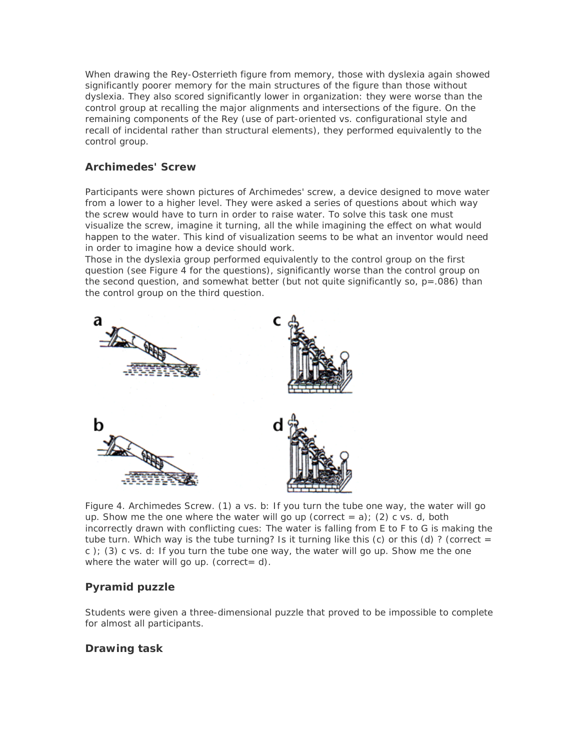When drawing the Rey-Osterrieth figure from memory, those with dyslexia again showed significantly poorer memory for the main structures of the figure than those without dyslexia. They also scored significantly lower in organization: they were worse than the control group at recalling the major alignments and intersections of the figure. On the remaining components of the Rey (use of part-oriented vs. configurational style and recall of incidental rather than structural elements), they performed equivalently to the control group.

#### **Archimedes' Screw**

Participants were shown pictures of Archimedes' screw, a device designed to move water from a lower to a higher level. They were asked a series of questions about which way the screw would have to turn in order to raise water. To solve this task one must visualize the screw, imagine it turning, all the while imagining the effect on what would happen to the water. This kind of visualization seems to be what an inventor would need in order to imagine how a device should work.

Those in the dyslexia group performed equivalently to the control group on the first question (see Figure 4 for the questions), significantly worse than the control group on the second question, and somewhat better (but not quite significantly so,  $p = .086$ ) than the control group on the third question.



Figure 4. Archimedes Screw. (1) a vs. b: If you turn the tube one way, the water will go up. Show me the one where the water will go up (correct  $= a$ ); (2) c vs. d, both incorrectly drawn with conflicting cues: The water is falling from E to F to G is making the tube turn. Which *way is the tube turning? Is it turning like this* (c) *or this (d) ? (correct = c* ); *(3) c vs. d: If you turn the tube one* way, the water will go up. Show me the one where the water will go up. (correct =  $d$ ).

## **Pyramid puzzle**

Students were given a three-dimensional puzzle that proved to be impossible to complete for almost all participants.

#### **Drawing task**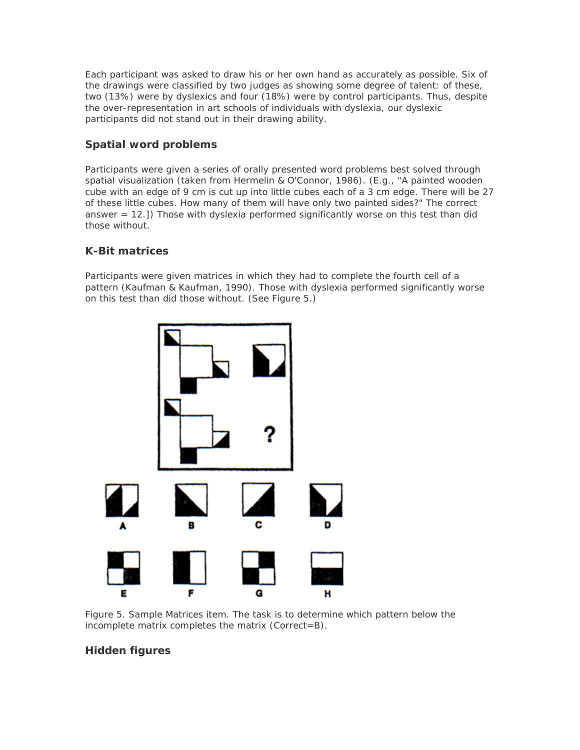Each participant was asked to draw his or her own hand as accurately as possible. Six of the drawings were classified by two judges as showing some degree of talent: of these, two (13%) were by dyslexics and four (18%) were by control participants. Thus, despite the over-representation in art schools of individuals with dyslexia, our dyslexic participants did not stand out in their drawing ability.

## **Spatial word problems**

Participants were given a series of orally presented word problems best solved through spatial visualization (taken from Hermelin & O'Connor, 1986). (E.g., "A painted wooden cube with an edge of 9 cm is cut up into little cubes each of a 3 cm edge. There will be 27 of these little cubes. How many of them will have only two painted sides?" The correct answer = 12.]) Those with dyslexia performed significantly worse on this test than did those without.

## **K-Bit matrices**

Participants were given matrices in which they had to complete the fourth cell of a pattern (Kaufman & Kaufman, 1990). Those with dyslexia performed significantly worse on this test than did those without. (See Figure 5.)



Figure 5. Sample Matrices item. The task is to determine which pattern below the incomplete matrix completes the matrix (Correct=B).

# **Hidden figures**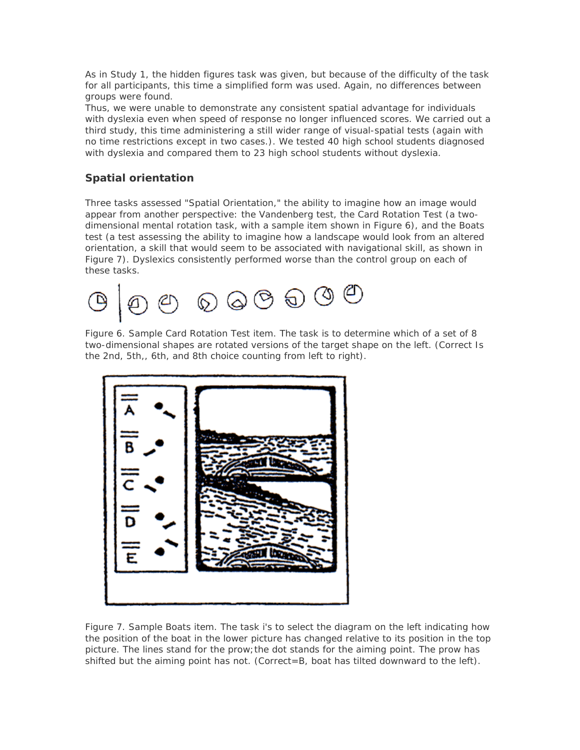As in Study 1, the hidden figures task was given, but because of the difficulty of the task for all participants, this time a simplified form was used. Again, no differences between groups were found.

Thus, we were unable to demonstrate any consistent spatial advantage for individuals with dyslexia even when speed of response no longer influenced scores. We carried out a third study, this time administering a still wider range of visual-spatial tests (again with no time restrictions except in two cases.). We tested 40 high school students diagnosed with dyslexia and compared them to 23 high school students without dyslexia.

## **Spatial orientation**

Three tasks assessed "Spatial Orientation," the ability to imagine how an image would appear from another perspective: the Vandenberg test, the Card Rotation Test (a twodimensional mental rotation task, with a sample item shown in Figure 6), and the Boats test (a test assessing the ability to imagine how a landscape would look from an altered orientation, a skill that would seem to be associated with navigational skill, as shown in Figure 7). Dyslexics consistently performed worse than the control group on each of these tasks.



Figure 6. Sample Card Rotation Test item. The task is to determine which of a set of 8 two-dimensional shapes are rotated versions of the target shape on the left. (Correct Is the 2nd, 5th,, 6th, and 8th choice counting from left to right).



Figure 7. Sample Boats item. The task i's to select the diagram on the left indicating how the position of the boat in the lower picture has changed relative to its position in the top picture. The lines stand for the prow;the dot stands for the aiming point. The prow has shifted but the aiming point has not. (Correct=B, boat has tilted downward to the left).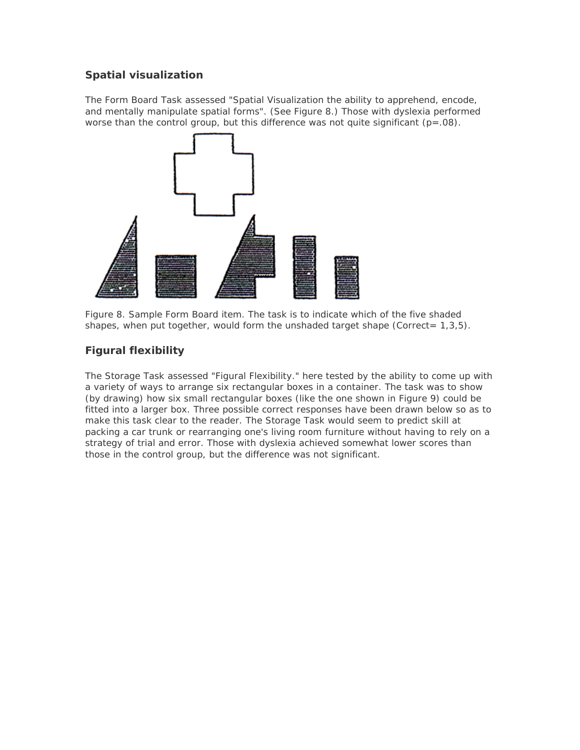#### **Spatial visualization**

The Form Board Task assessed "Spatial Visualization the ability to apprehend, encode, and mentally manipulate spatial forms". (See Figure 8.) Those with dyslexia performed worse than the control group, but this difference was not quite significant  $(p=.08)$ .



Figure 8. Sample Form Board item. The task is to indicate which of the five shaded shapes, when put together, would form the unshaded target shape (Correct=  $1,3,5$ ).

## **Figural flexibility**

The Storage Task assessed "Figural Flexibility." here tested by the ability to come up with a variety of ways to arrange six rectangular boxes in a container. The task was to show (by drawing) how six small rectangular boxes (like the one shown in Figure 9) could be fitted into a larger box. Three possible correct responses have been drawn below so as to make this task clear to the reader. The Storage Task would seem to predict skill at packing a car trunk or rearranging one's living room furniture without having to rely on a strategy of trial and error. Those with dyslexia achieved somewhat lower scores than those in the control group, but the difference was not significant.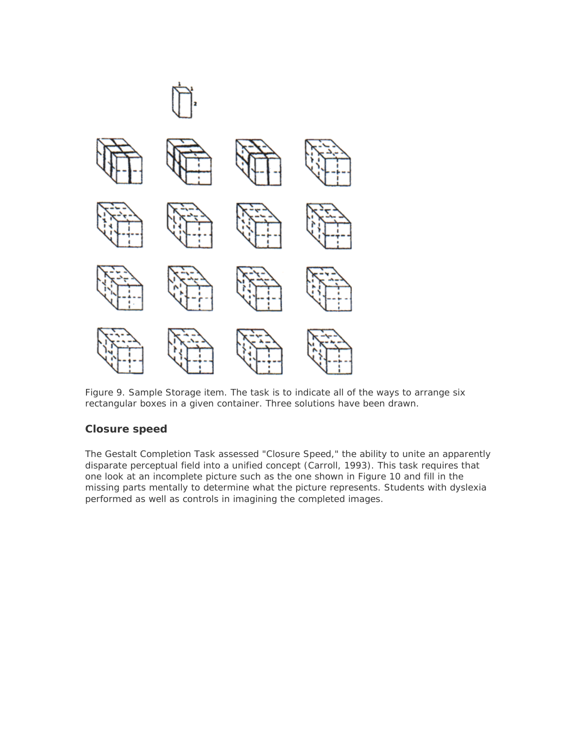

Figure 9. Sample Storage item. The task is to indicate all of the ways to arrange six rectangular boxes in a given container. Three solutions have been drawn.

#### **Closure speed**

The Gestalt Completion Task assessed "Closure Speed," the ability to unite an apparently disparate perceptual field into a unified concept (Carroll, 1993). This task requires that one look at an incomplete picture such as the one shown in Figure 10 and fill in the missing parts mentally to determine what the picture represents. Students with dyslexia performed as well as controls in imagining the completed images.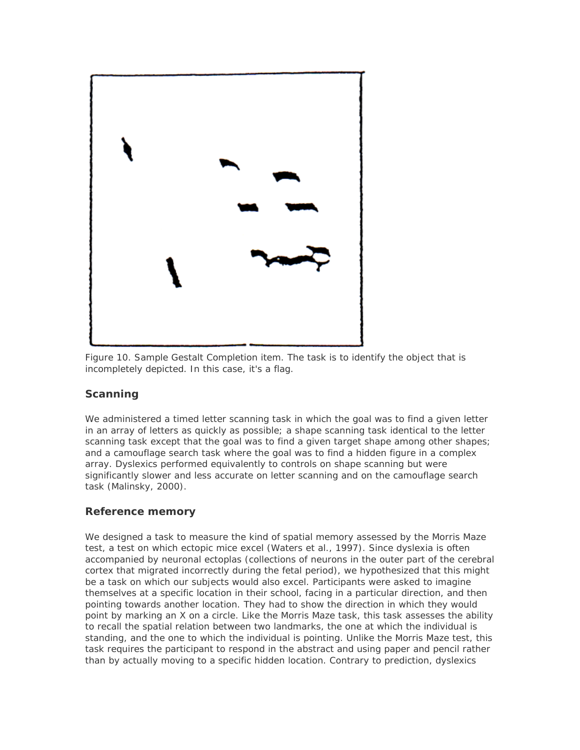

Figure 10. Sample Gestalt Completion item. The task is to identify the object that is incompletely depicted. In this case, it's a flag.

## **Scanning**

We administered a timed letter scanning task in which the goal was to find a given letter in an array of letters as quickly as possible; a shape scanning task identical to the letter scanning task except that the goal was to find a given target shape among other shapes; and a camouflage search task where the goal was to find a hidden figure in a complex array. Dyslexics performed equivalently to controls on shape scanning but were significantly slower and less accurate on letter scanning and on the camouflage search task (Malinsky, 2000).

## **Reference memory**

We designed a task to measure the kind of spatial memory assessed by the Morris Maze test, a test on which ectopic mice excel (Waters et al., 1997). Since dyslexia is often accompanied by neuronal ectoplas (collections of neurons in the outer part of the cerebral cortex that migrated incorrectly during the fetal period), we hypothesized that this might be a task on which our subjects would also excel. Participants were asked to imagine themselves at a specific location in their school, facing in a particular direction, and then pointing towards another location. They had to show the direction in which they would point by marking an X on a circle. Like the Morris Maze task, this task assesses the ability to recall the spatial relation between two landmarks, the one at which the individual is standing, and the one to which the individual is pointing. Unlike the Morris Maze test, this task requires the participant to respond in the abstract and using paper and pencil rather than by actually moving to a specific hidden location. Contrary to prediction, dyslexics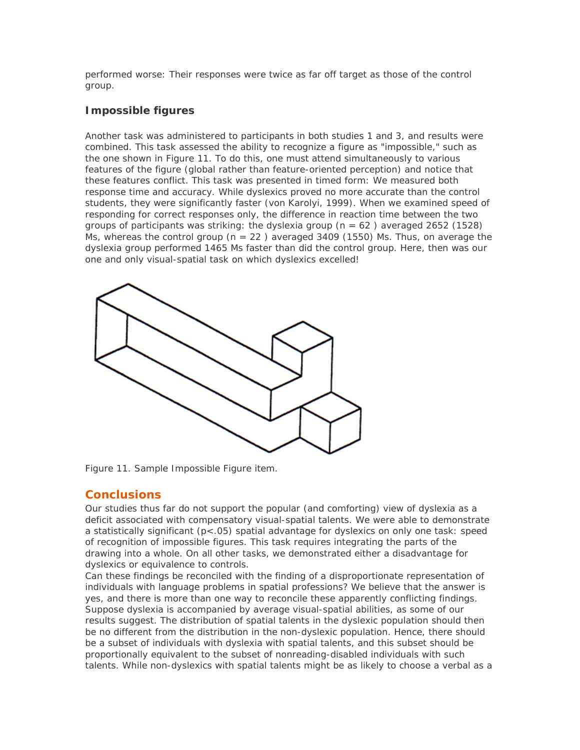performed worse: Their responses were twice as far off target as those of the control group.

#### **Impossible figures**

Another task was administered to participants in both studies 1 and 3, and results were combined. This task assessed the ability to recognize a figure as "impossible," such as the one shown in Figure 11. To do this, one must attend simultaneously to various features of the figure (global rather than feature-oriented perception) and notice that these features conflict. This task was presented in timed form: We measured both response time and accuracy. While dyslexics proved no more accurate than the control students, they were significantly faster (von Karolyi, 1999). When we examined speed of responding for correct responses only, the difference in reaction time between the two groups of participants was striking: the dyslexia group ( $n = 62$ ) averaged 2652 (1528) Ms, whereas the control group ( $n = 22$ ) averaged 3409 (1550) Ms. Thus, on average the dyslexia group performed 1465 Ms faster than did the control group. Here, then was our one and only visual-spatial task on which dyslexics excelled!



Figure 11. Sample Impossible Figure item.

# **Conclusions**

Our studies thus far do not support the popular (and comforting) view of dyslexia as a deficit associated with compensatory visual-spatial talents. We were able to demonstrate a statistically significant (p<.05) spatial advantage for dyslexics on only one task: speed of recognition of impossible figures. This task requires integrating the parts of the drawing into a whole. On all other tasks, we demonstrated either a disadvantage for dyslexics or equivalence to controls.

Can these findings be reconciled with the finding of a disproportionate representation of individuals with language problems in spatial professions? We believe that the answer is yes, and there is more than one way to reconcile these apparently conflicting findings. Suppose dyslexia is accompanied by average visual-spatial abilities, as some of our results suggest. The distribution of spatial talents in the dyslexic population should then be no different from the distribution in the non-dyslexic population. Hence, there should be a subset of individuals with dyslexia with spatial talents, and this subset should be proportionally equivalent to the subset of nonreading-disabled individuals with such talents. While non-dyslexics with spatial talents might be as likely to choose a verbal as a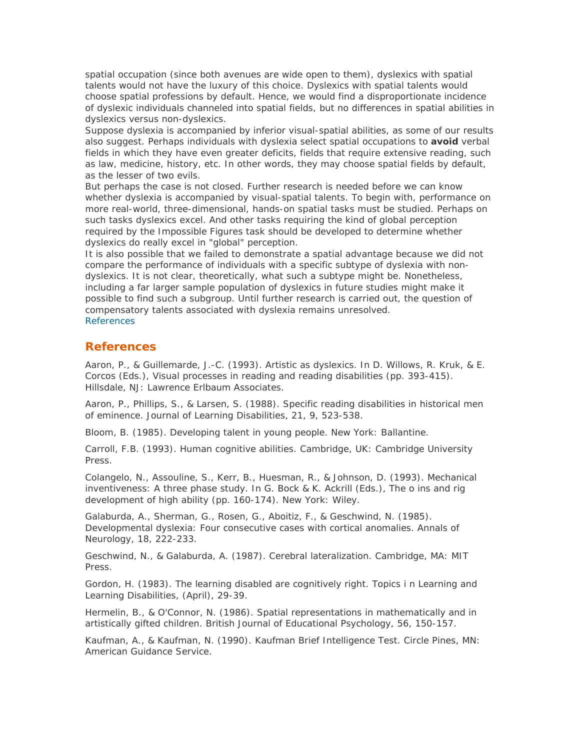spatial occupation (since both avenues are wide open to them), dyslexics with spatial talents would not have the luxury of this choice. Dyslexics with spatial talents would choose spatial professions by default. Hence, we would find a disproportionate incidence of dyslexic individuals channeled into spatial fields, but no differences in spatial abilities in dyslexics versus non-dyslexics.

Suppose dyslexia is accompanied by inferior visual-spatial abilities, as some of our results also suggest. Perhaps individuals with dyslexia select spatial occupations to **avoid** verbal fields in which they have even greater deficits, fields that require extensive reading, such as law, medicine, history, etc. In other words, they may choose spatial fields by default, as the lesser of two evils.

But perhaps the case is not closed. Further research is needed before we can know whether dyslexia is accompanied by visual-spatial talents. To begin with, performance on more real-world, three-dimensional, hands-on spatial tasks must be studied. Perhaps on such tasks dyslexics excel. And other tasks requiring the kind of global perception required by the Impossible Figures task should be developed to determine whether dyslexics do really excel in "global" perception.

It is also possible that we failed to demonstrate a spatial advantage because we did not compare the performance of individuals with a specific subtype of dyslexia with nondyslexics. It is not clear, theoretically, what such a subtype might be. Nonetheless, including a far larger sample population of dyslexics in future studies might make it possible to find such a subgroup. Until further research is carried out, the question of compensatory talents associated with dyslexia remains unresolved. References

#### **References**

Aaron, P., & Guillemarde, J.-C. (1993). Artistic as dyslexics. In D. Willows, R. Kruk, & E. Corcos (Eds.), *Visual processes in reading and reading disabilities (pp.* 393-415). Hillsdale, NJ: Lawrence Erlbaum Associates.

Aaron, P., Phillips, S., & Larsen, S. (1988). Specific reading disabilities in historical men of eminence. *Journal of Learning Disabilities,* 21, 9, 523-538.

Bloom, B. (1985). *Developing talent in young people.* New York: Ballantine.

Carroll, F.B. (1993). *Human cognitive abilities.* Cambridge, UK: Cambridge University Press.

Colangelo, N., Assouline, S., Kerr, B., Huesman, R., & Johnson, D. (1993). Mechanical inventiveness: A three phase study. In G. Bock & K. Ackrill (Eds.), *The o ins and rig development of high ability (pp.* 160-174). New York: Wiley.

Galaburda, A., Sherman, G., Rosen, G., Aboitiz, F., & Geschwind, N. (1985). Developmental dyslexia: Four consecutive cases with cortical anomalies. *Annals of Neurology,* 18, 222-233.

Geschwind, N., & Galaburda, A. (1987). *Cerebral lateralization.* Cambridge, MA: MIT Press.

Gordon, H. (1983). The learning disabled are cognitively right. *Topics i n Learning and Learning Disabilities,* (April), 29-39.

Hermelin, B., & O'Connor, N. (1986). Spatial representations in mathematically and in artistically gifted children. *British Journal of Educational Psychology,* 56, 150-157.

Kaufman, A., & Kaufman, N. (1990). *Kaufman Brief Intelligence Test.* Circle Pines, MN: American Guidance Service.